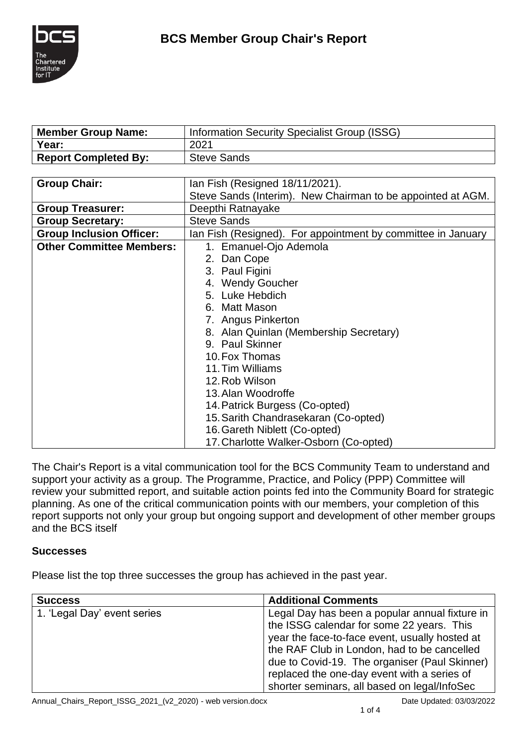

| <b>Member Group Name:</b>       | <b>Information Security Specialist Group (ISSG)</b>          |  |
|---------------------------------|--------------------------------------------------------------|--|
| Year:                           | 2021                                                         |  |
| <b>Report Completed By:</b>     | <b>Steve Sands</b>                                           |  |
|                                 |                                                              |  |
| <b>Group Chair:</b>             | Ian Fish (Resigned 18/11/2021).                              |  |
|                                 | Steve Sands (Interim). New Chairman to be appointed at AGM.  |  |
| <b>Group Treasurer:</b>         | Deepthi Ratnayake                                            |  |
| <b>Group Secretary:</b>         | <b>Steve Sands</b>                                           |  |
| <b>Group Inclusion Officer:</b> | Ian Fish (Resigned). For appointment by committee in January |  |
| <b>Other Committee Members:</b> | 1. Emanuel-Ojo Ademola                                       |  |
|                                 | 2. Dan Cope                                                  |  |
|                                 | 3. Paul Figini                                               |  |
|                                 | 4. Wendy Goucher                                             |  |
|                                 | 5. Luke Hebdich                                              |  |
|                                 | 6. Matt Mason                                                |  |
|                                 | 7. Angus Pinkerton                                           |  |
|                                 | 8. Alan Quinlan (Membership Secretary)                       |  |
|                                 | 9. Paul Skinner                                              |  |
|                                 | 10. Fox Thomas                                               |  |
|                                 | 11. Tim Williams                                             |  |
|                                 | 12. Rob Wilson                                               |  |
|                                 | 13. Alan Woodroffe                                           |  |
|                                 | 14. Patrick Burgess (Co-opted)                               |  |
|                                 | 15. Sarith Chandrasekaran (Co-opted)                         |  |
|                                 | 16. Gareth Niblett (Co-opted)                                |  |
|                                 | 17. Charlotte Walker-Osborn (Co-opted)                       |  |

The Chair's Report is a vital communication tool for the BCS Community Team to understand and support your activity as a group. The Programme, Practice, and Policy (PPP) Committee will review your submitted report, and suitable action points fed into the Community Board for strategic planning. As one of the critical communication points with our members, your completion of this report supports not only your group but ongoing support and development of other member groups and the BCS itself

### **Successes**

Please list the top three successes the group has achieved in the past year.

| <b>Success</b>              | <b>Additional Comments</b>                                                                                                                                                                                                                                                                                                                   |
|-----------------------------|----------------------------------------------------------------------------------------------------------------------------------------------------------------------------------------------------------------------------------------------------------------------------------------------------------------------------------------------|
| 1. 'Legal Day' event series | Legal Day has been a popular annual fixture in<br>the ISSG calendar for some 22 years. This<br>year the face-to-face event, usually hosted at<br>the RAF Club in London, had to be cancelled<br>due to Covid-19. The organiser (Paul Skinner)<br>replaced the one-day event with a series of<br>shorter seminars, all based on legal/InfoSec |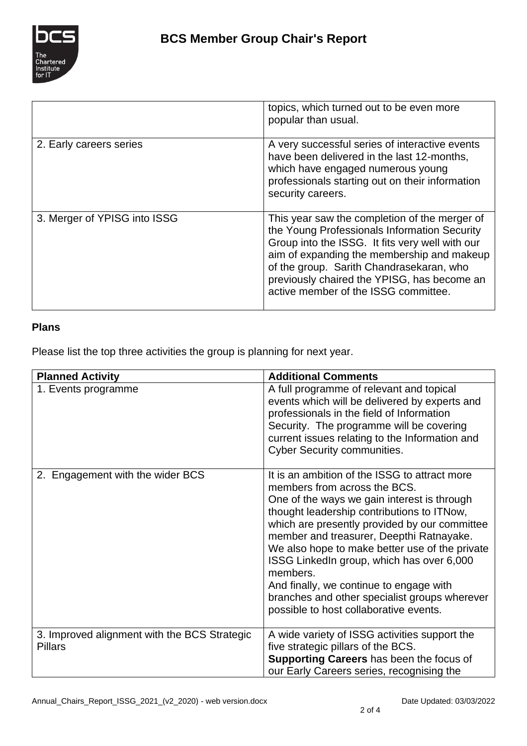

|                              | topics, which turned out to be even more<br>popular than usual.                                                                                                                                                                                                                                                                   |
|------------------------------|-----------------------------------------------------------------------------------------------------------------------------------------------------------------------------------------------------------------------------------------------------------------------------------------------------------------------------------|
| 2. Early careers series      | A very successful series of interactive events<br>have been delivered in the last 12-months,<br>which have engaged numerous young<br>professionals starting out on their information<br>security careers.                                                                                                                         |
| 3. Merger of YPISG into ISSG | This year saw the completion of the merger of<br>the Young Professionals Information Security<br>Group into the ISSG. It fits very well with our<br>aim of expanding the membership and makeup<br>of the group. Sarith Chandrasekaran, who<br>previously chaired the YPISG, has become an<br>active member of the ISSG committee. |

# **Plans**

Please list the top three activities the group is planning for next year.

| <b>Planned Activity</b>                                        | <b>Additional Comments</b>                                                                                                                                                                                                                                                                                                                                                                                                                                                                                               |
|----------------------------------------------------------------|--------------------------------------------------------------------------------------------------------------------------------------------------------------------------------------------------------------------------------------------------------------------------------------------------------------------------------------------------------------------------------------------------------------------------------------------------------------------------------------------------------------------------|
| 1. Events programme                                            | A full programme of relevant and topical<br>events which will be delivered by experts and<br>professionals in the field of Information<br>Security. The programme will be covering<br>current issues relating to the Information and<br><b>Cyber Security communities.</b>                                                                                                                                                                                                                                               |
| 2. Engagement with the wider BCS                               | It is an ambition of the ISSG to attract more<br>members from across the BCS.<br>One of the ways we gain interest is through<br>thought leadership contributions to ITNow,<br>which are presently provided by our committee<br>member and treasurer, Deepthi Ratnayake.<br>We also hope to make better use of the private<br>ISSG LinkedIn group, which has over 6,000<br>members.<br>And finally, we continue to engage with<br>branches and other specialist groups wherever<br>possible to host collaborative events. |
| 3. Improved alignment with the BCS Strategic<br><b>Pillars</b> | A wide variety of ISSG activities support the<br>five strategic pillars of the BCS.<br>Supporting Careers has been the focus of<br>our Early Careers series, recognising the                                                                                                                                                                                                                                                                                                                                             |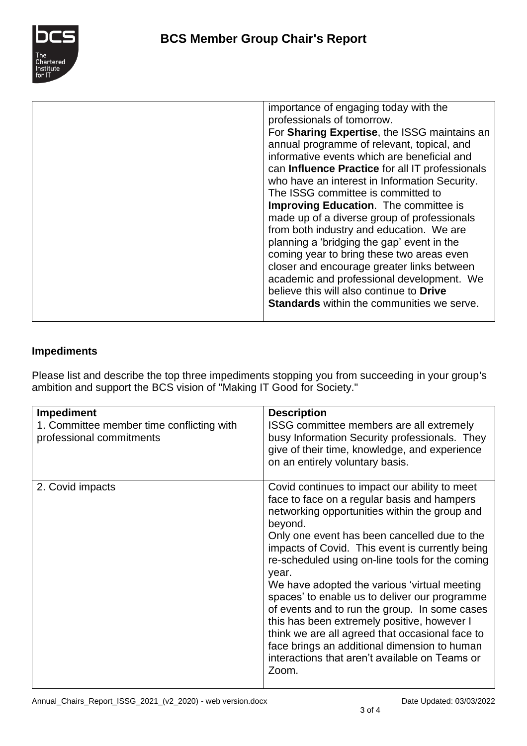

| importance of engaging today with the<br>professionals of tomorrow.<br>For Sharing Expertise, the ISSG maintains an<br>annual programme of relevant, topical, and<br>informative events which are beneficial and<br>can Influence Practice for all IT professionals<br>who have an interest in Information Security.<br>The ISSG committee is committed to<br><b>Improving Education.</b> The committee is<br>made up of a diverse group of professionals<br>from both industry and education. We are<br>planning a 'bridging the gap' event in the<br>coming year to bring these two areas even<br>closer and encourage greater links between<br>academic and professional development. We<br>believe this will also continue to <b>Drive</b> |
|------------------------------------------------------------------------------------------------------------------------------------------------------------------------------------------------------------------------------------------------------------------------------------------------------------------------------------------------------------------------------------------------------------------------------------------------------------------------------------------------------------------------------------------------------------------------------------------------------------------------------------------------------------------------------------------------------------------------------------------------|
| <b>Standards</b> within the communities we serve.                                                                                                                                                                                                                                                                                                                                                                                                                                                                                                                                                                                                                                                                                              |
|                                                                                                                                                                                                                                                                                                                                                                                                                                                                                                                                                                                                                                                                                                                                                |

### **Impediments**

Please list and describe the top three impediments stopping you from succeeding in your group's ambition and support the BCS vision of "Making IT Good for Society."

| <b>Impediment</b>                                                     | <b>Description</b>                                                                                                                                                                                                                                                                                                                                                                                                                                                                                                                                                                                                                                                                     |
|-----------------------------------------------------------------------|----------------------------------------------------------------------------------------------------------------------------------------------------------------------------------------------------------------------------------------------------------------------------------------------------------------------------------------------------------------------------------------------------------------------------------------------------------------------------------------------------------------------------------------------------------------------------------------------------------------------------------------------------------------------------------------|
| 1. Committee member time conflicting with<br>professional commitments | ISSG committee members are all extremely<br>busy Information Security professionals. They<br>give of their time, knowledge, and experience<br>on an entirely voluntary basis.                                                                                                                                                                                                                                                                                                                                                                                                                                                                                                          |
| 2. Covid impacts                                                      | Covid continues to impact our ability to meet<br>face to face on a regular basis and hampers<br>networking opportunities within the group and<br>beyond.<br>Only one event has been cancelled due to the<br>impacts of Covid. This event is currently being<br>re-scheduled using on-line tools for the coming<br>year.<br>We have adopted the various 'virtual meeting<br>spaces' to enable us to deliver our programme<br>of events and to run the group. In some cases<br>this has been extremely positive, however I<br>think we are all agreed that occasional face to<br>face brings an additional dimension to human<br>interactions that aren't available on Teams or<br>Zoom. |